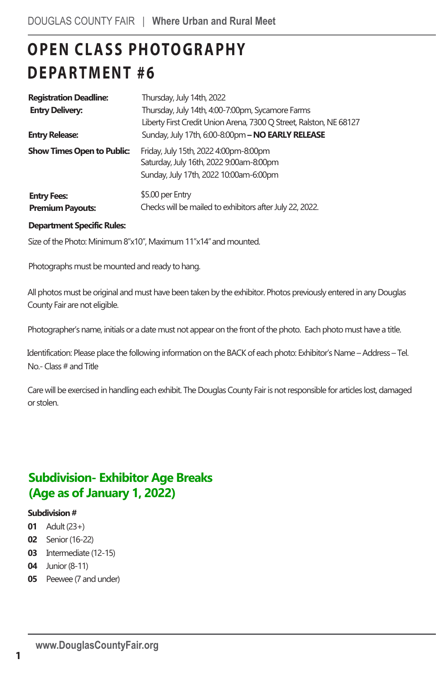# **OPEN CLASS PHOTOGRAPHY DEPARTMENT #6**

| <b>Registration Deadline:</b>                 | Thursday, July 14th, 2022                                                                                                  |
|-----------------------------------------------|----------------------------------------------------------------------------------------------------------------------------|
| <b>Entry Delivery:</b>                        | Thursday, July 14th, 4:00-7:00pm, Sycamore Farms<br>Liberty First Credit Union Arena, 7300 Q Street, Ralston, NE 68127     |
| <b>Entry Release:</b>                         | Sunday, July 17th, 6:00-8:00pm - NO EARLY RELEASE                                                                          |
| <b>Show Times Open to Public:</b>             | Friday, July 15th, 2022 4:00pm-8:00pm<br>Saturday, July 16th, 2022 9:00am-8:00pm<br>Sunday, July 17th, 2022 10:00am-6:00pm |
| <b>Entry Fees:</b><br><b>Premium Payouts:</b> | \$5.00 per Entry<br>Checks will be mailed to exhibitors after July 22, 2022.                                               |

#### **Department Specific Rules:**

Size of the Photo: Minimum 8"x10", Maximum 11"x14" and mounted.

Photographs must be mounted and ready to hang.

All photos must be original and must have been taken by the exhibitor. Photos previously entered in any Douglas County Fair are not eligible.

Photographer's name, initials or a date must not appear on the front of the photo. Each photo must have a title.

Identification: Please place the following information on the BACK of each photo: Exhibitor's Name – Address – Tel. No.- Class # and Title **Safety & Technology Promotional & Apparel**

Care will be exercised in handling each exhibit. The Douglas County Fair is not responsible for articles lost, damaged or stolen.

### **Subdivision- Exhibitor Age Breaks (Age as of January 1, 2022)**

### **Subdivision #**

- **01** Adult (23+)
- **02** Senior (16-22)
- **03** Intermediate (12-15)
- **04** Junior (8-11)
- **05** Peewee (7 and under)